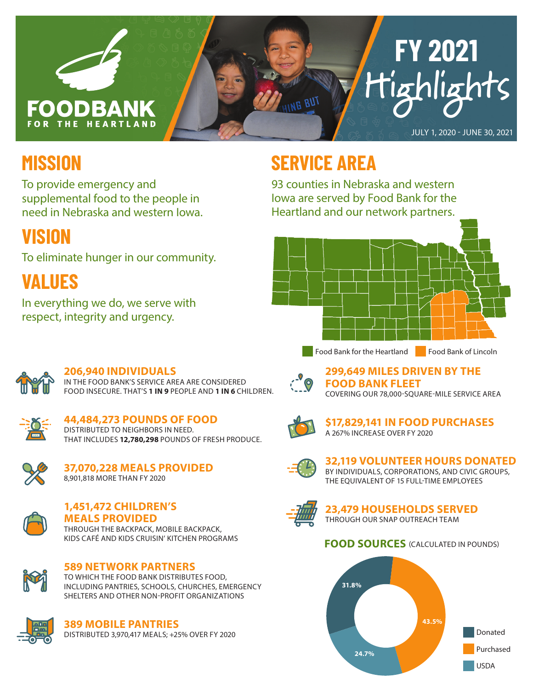

## **MISSION**

To provide emergency and supplemental food to the people in need in Nebraska and western Iowa.

## **VISION**

To eliminate hunger in our community.

**VALUES**

In everything we do, we serve with respect, integrity and urgency.

## **SERVICE AREA**

93 counties in Nebraska and western Iowa are served by Food Bank for the Heartland and our network partners.





#### **206,940 INDIVIDUALS**

IN THE FOOD BANK'S SERVICE AREA ARE CONSIDERED FOOD INSECURE. THAT'S **1 IN 9** PEOPLE AND **1 IN 6** CHILDREN.



**44,484,273 POUNDS OF FOOD** DISTRIBUTED TO NEIGHBORS IN NEED. THAT INCLUDES **12,780,298** POUNDS OF FRESH PRODUCE.



**37,070,228 MEALS PROVIDED** 8,901,818 MORE THAN FY 2020



### **1,451,472 CHILDREN'S**

**MEALS PROVIDED** THROUGH THE BACKPACK, MOBILE BACKPACK, KIDS CAFÉ AND KIDS CRUISIN' KITCHEN PROGRAMS



#### **589 NETWORK PARTNERS**

TO WHICH THE FOOD BANK DISTRIBUTES FOOD, INCLUDING PANTRIES, SCHOOLS, CHURCHES, EMERGENCY SHELTERS AND OTHER NON-PROFIT ORGANIZATIONS



#### **389 MOBILE PANTRIES**

DISTRIBUTED 3,970,417 MEALS; +25% OVER FY 2020



**299,649 MILES DRIVEN BY THE FOOD BANK FLEET** COVERING OUR 78,000-SQUARE-MILE SERVICE AREA



#### **\$17,829,141 IN FOOD PURCHASES** A 267% INCREASE OVER FY 2020



#### **32,119 VOLUNTEER HOURS DONATED** BY INDIVIDUALS, CORPORATIONS, AND CIVIC GROUPS,

THE EQUIVALENT OF 15 FULL-TIME EMPLOYEES



**23,479 HOUSEHOLDS SERVED** THROUGH OUR SNAP OUTREACH TEAM

#### **FOOD SOURCES** (CALCULATED IN POUNDS)